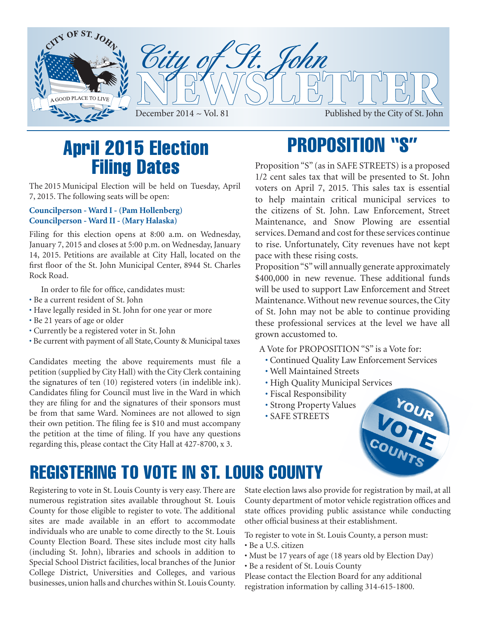

## April 2015 Election Filing Dates

The 2015 Municipal Election will be held on Tuesday, April 7, 2015. The following seats will be open:

### **Councilperson - Ward I - (Pam Hollenberg) Councilperson - Ward II - (Mary Halaska)**

Filing for this election opens at 8:00 a.m. on Wednesday, January 7, 2015 and closes at 5:00 p.m. on Wednesday, January 14, 2015. Petitions are available at City Hall, located on the first floor of the St. John Municipal Center, 8944 St. Charles Rock Road.

In order to file for office, candidates must:

- Be a current resident of St. John
- Have legally resided in St. John for one year or more
- Be 21 years of age or older
- Currently be a registered voter in St. John
- Be current with payment of all State, County & Municipal taxes

Candidates meeting the above requirements must file a petition (supplied by City Hall) with the City Clerk containing the signatures of ten (10) registered voters (in indelible ink). Candidates filing for Council must live in the Ward in which they are filing for and the signatures of their sponsors must be from that same Ward. Nominees are not allowed to sign their own petition. The filing fee is \$10 and must accompany the petition at the time of filing. If you have any questions regarding this, please contact the City Hall at 427-8700, x 3.

# PROPOSITION "S"

Proposition "S" (as in SAFE STREETS) is a proposed 1/2 cent sales tax that will be presented to St. John voters on April 7, 2015. This sales tax is essential to help maintain critical municipal services to the citizens of St. John. Law Enforcement, Street Maintenance, and Snow Plowing are essential services. Demand and cost for these services continue to rise. Unfortunately, City revenues have not kept pace with these rising costs.

Proposition "S" will annually generate approximately \$400,000 in new revenue. These additional funds will be used to support Law Enforcement and Street Maintenance. Without new revenue sources, the City of St. John may not be able to continue providing these professional services at the level we have all grown accustomed to.

A Vote for PROPOSITION "S" is a Vote for:

- Continued Quality Law Enforcement Services
- Well Maintained Streets
- High Quality Municipal Services
- Fiscal Responsibility
- Strong Property Values
- SAFE STREETS



## registering to vote In st. louis county

Registering to vote in St. Louis County is very easy. There are numerous registration sites available throughout St. Louis County for those eligible to register to vote. The additional sites are made available in an effort to accommodate individuals who are unable to come directly to the St. Louis County Election Board. These sites include most city halls (including St. John), libraries and schools in addition to Special School District facilities, local branches of the Junior College District, Universities and Colleges, and various businesses, union halls and churches within St. Louis County.

State election laws also provide for registration by mail, at all County department of motor vehicle registration offices and state offices providing public assistance while conducting other official business at their establishment.

To register to vote in St. Louis County, a person must:

- Be a U.S. citizen
- Must be 17 years of age (18 years old by Election Day)
- Be a resident of St. Louis County

Please contact the Election Board for any additional registration information by calling 314-615-1800.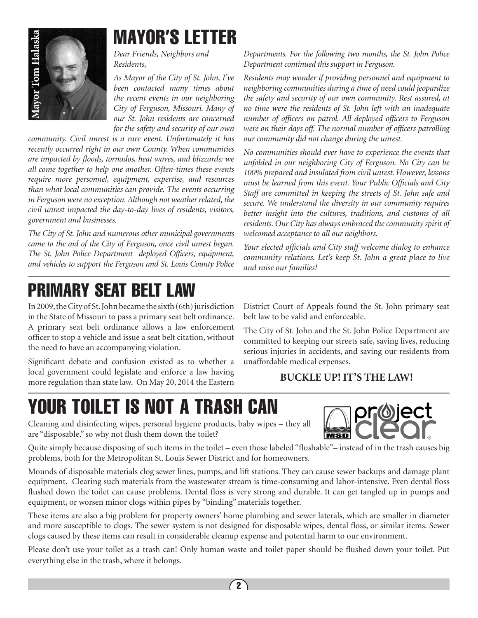

# MAYOR'S LETTER

*Dear Friends, Neighbors and Residents,*

*As Mayor of the City of St. John, I've been contacted many times about the recent events in our neighboring City of Ferguson, Missouri. Many of our St. John residents are concerned for the safety and security of our own* 

*community. Civil unrest is a rare event. Unfortunately it has recently occurred right in our own County. When communities are impacted by floods, tornados, heat waves, and blizzards: we all come together to help one another. Often-times these events require more personnel, equipment, expertise, and resources than what local communities can provide. The events occurring in Ferguson were no exception. Although not weather related, the civil unrest impacted the day-to-day lives of residents, visitors, government and businesses.*

*The City of St. John and numerous other municipal governments came to the aid of the City of Ferguson, once civil unrest began. The St. John Police Department deployed Officers, equipment, and vehicles to support the Ferguson and St. Louis County Police* 

# primary seat belt law

In 2009, the City of St. John became the sixth (6th) jurisdiction in the State of Missouri to pass a primary seat belt ordinance. A primary seat belt ordinance allows a law enforcement officer to stop a vehicle and issue a seat belt citation, without the need to have an accompanying violation.

Significant debate and confusion existed as to whether a local government could legislate and enforce a law having more regulation than state law. On May 20, 2014 the Eastern *Departments. For the following two months, the St. John Police Department continued this support in Ferguson.*

*Residents may wonder if providing personnel and equipment to neighboring communities during a time of need could jeopardize the safety and security of our own community. Rest assured, at no time were the residents of St. John left with an inadequate number of officers on patrol. All deployed officers to Ferguson were on their days off. The normal number of officers patrolling our community did not change during the unrest.*

*No communities should ever have to experience the events that unfolded in our neighboring City of Ferguson. No City can be 100% prepared and insulated from civil unrest. However, lessons must be learned from this event. Your Public Officials and City Staff are committed in keeping the streets of St. John safe and secure. We understand the diversity in our community requires better insight into the cultures, traditions, and customs of all residents. Our City has always embraced the community spirit of welcomed acceptance to all our neighbors.*

*Your elected officials and City staff welcome dialog to enhance community relations. Let's keep St. John a great place to live and raise our families!*

District Court of Appeals found the St. John primary seat belt law to be valid and enforceable.

The City of St. John and the St. John Police Department are committed to keeping our streets safe, saving lives, reducing serious injuries in accidents, and saving our residents from unaffordable medical expenses.

### **BUCKLE UP! IT'S THE LAW!**

# YOUR TOILET IS NOT A TRASH CAN



Cleaning and disinfecting wipes, personal hygiene products, baby wipes – they all are "disposable," so why not flush them down the toilet?

Quite simply because disposing of such items in the toilet – even those labeled "flushable"– instead of in the trash causes big problems, both for the Metropolitan St. Louis Sewer District and for homeowners.

Mounds of disposable materials clog sewer lines, pumps, and lift stations. They can cause sewer backups and damage plant equipment. Clearing such materials from the wastewater stream is time-consuming and labor-intensive. Even dental floss flushed down the toilet can cause problems. Dental floss is very strong and durable. It can get tangled up in pumps and equipment, or worsen minor clogs within pipes by "binding" materials together.

These items are also a big problem for property owners' home plumbing and sewer laterals, which are smaller in diameter and more susceptible to clogs. The sewer system is not designed for disposable wipes, dental floss, or similar items. Sewer clogs caused by these items can result in considerable cleanup expense and potential harm to our environment.

Please don't use your toilet as a trash can! Only human waste and toilet paper should be flushed down your toilet. Put everything else in the trash, where it belongs.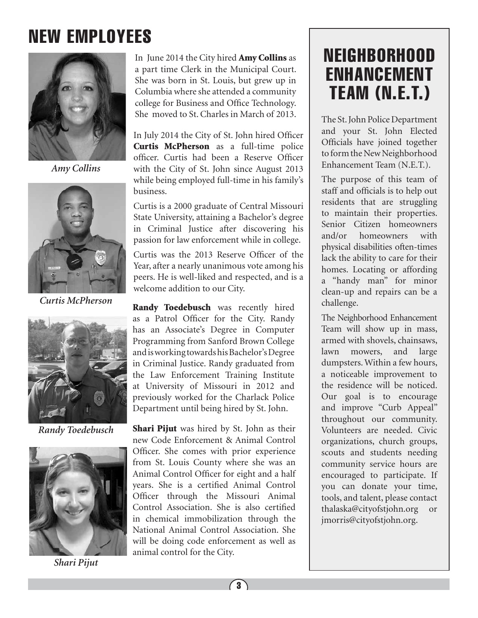# NEW EMPLOYEES



*Amy Collins*



*Curtis McPherson*



*Randy Toedebusch*



*Shari Pijut*

In June 2014 the City hired **Amy Collins** as a part time Clerk in the Municipal Court. She was born in St. Louis, but grew up in Columbia where she attended a community college for Business and Office Technology. She moved to St. Charles in March of 2013. The St. John Police Department

In July 2014 the City of St. John hired Officer Curtis McPherson as a full-time police officer. Curtis had been a Reserve Officer with the City of St. John since August 2013 while being employed full-time in his family's business.

Curtis is a 2000 graduate of Central Missouri State University, attaining a Bachelor's degree in Criminal Justice after discovering his passion for law enforcement while in college.

Curtis was the 2013 Reserve Officer of the Year, after a nearly unanimous vote among his peers. He is well-liked and respected, and is a welcome addition to our City.

Randy Toedebusch was recently hired as a Patrol Officer for the City. Randy has an Associate's Degree in Computer Programming from Sanford Brown College and is working towards his Bachelor's Degree in Criminal Justice. Randy graduated from the Law Enforcement Training Institute at University of Missouri in 2012 and previously worked for the Charlack Police Department until being hired by St. John.

Shari Pijut was hired by St. John as their new Code Enforcement & Animal Control Officer. She comes with prior experience from St. Louis County where she was an Animal Control Officer for eight and a half years. She is a certified Animal Control Officer through the Missouri Animal Control Association. She is also certified in chemical immobilization through the National Animal Control Association. She will be doing code enforcement as well as animal control for the City.

## NEIGHBORHOOD ENHANCEMENT TEAM (N.E.T.)

and your St. John Elected Officials have joined together to form the New Neighborhood Enhancement Team (N.E.T.).

The purpose of this team of staff and officials is to help out residents that are struggling to maintain their properties. Senior Citizen homeowners and/or homeowners with physical disabilities often-times lack the ability to care for their homes. Locating or affording a "handy man" for minor clean-up and repairs can be a challenge.

The Neighborhood Enhancement Team will show up in mass, armed with shovels, chainsaws, lawn mowers, and large dumpsters. Within a few hours, a noticeable improvement to the residence will be noticed. Our goal is to encourage and improve "Curb Appeal" throughout our community. Volunteers are needed. Civic organizations, church groups, scouts and students needing community service hours are encouraged to participate. If you can donate your time, tools, and talent, please contact thalaska@cityofstjohn.org or jmorris@cityofstjohn.org.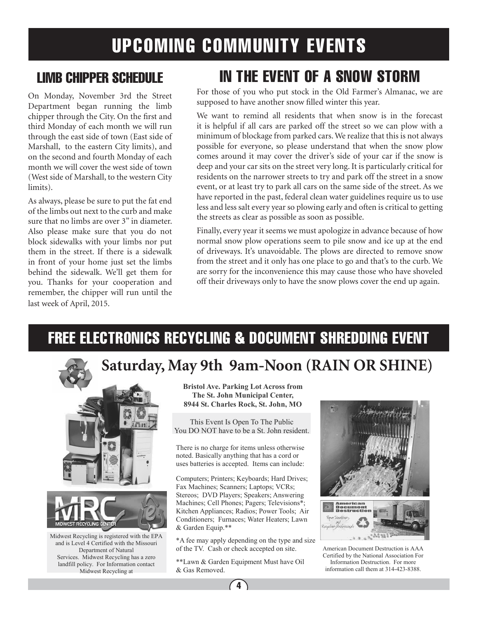## UPCOMING COMMUNITY EVENTS

### LIMB CHIPPER SCHEDULE

On Monday, November 3rd the Street Department began running the limb chipper through the City. On the first and third Monday of each month we will run through the east side of town (East side of Marshall, to the eastern City limits), and on the second and fourth Monday of each month we will cover the west side of town (West side of Marshall, to the western City limits).

As always, please be sure to put the fat end of the limbs out next to the curb and make sure that no limbs are over 3" in diameter. Also please make sure that you do not block sidewalks with your limbs nor put them in the street. If there is a sidewalk in front of your home just set the limbs behind the sidewalk. We'll get them for you. Thanks for your cooperation and remember, the chipper will run until the last week of April, 2015.

## IN THE EVENT OF A SNOW STORM

For those of you who put stock in the Old Farmer's Almanac, we are supposed to have another snow filled winter this year.

We want to remind all residents that when snow is in the forecast it is helpful if all cars are parked off the street so we can plow with a minimum of blockage from parked cars. We realize that this is not always possible for everyone, so please understand that when the snow plow comes around it may cover the driver's side of your car if the snow is deep and your car sits on the street very long. It is particularly critical for residents on the narrower streets to try and park off the street in a snow event, or at least try to park all cars on the same side of the street. As we have reported in the past, federal clean water guidelines require us to use less and less salt every year so plowing early and often is critical to getting the streets as clear as possible as soon as possible.

Finally, every year it seems we must apologize in advance because of how normal snow plow operations seem to pile snow and ice up at the end of driveways. It's unavoidable. The plows are directed to remove snow from the street and it only has one place to go and that's to the curb. We are sorry for the inconvenience this may cause those who have shoveled off their driveways only to have the snow plows cover the end up again.

### FREE ELECTRONICS RECYCLING & DOCUMENT SHREDDING EVENT

### **Saturday, May 9th 9am-Noon (RAIN OR SHINE)**





Midwest Recycling is registered with the EPA and is Level 4 Certified with the Missouri Department of Natural Services. Midwest Recycling has a zero landfill policy. For Information contact Midwest Recycling at

**Bristol Ave. Parking Lot Across from The St. John Municipal Center, 8944 St. Charles Rock, St. John, MO** 

This Event Is Open To The Public You DO NOT have to be a St. John resident.

There is no charge for items unless otherwise noted. Basically anything that has a cord or uses batteries is accepted. Items can include:

Computers; Printers; Keyboards; Hard Drives; Fax Machines; Scanners; Laptops; VCRs; Stereos; DVD Players; Speakers; Answering Machines; Cell Phones; Pagers; Televisions\*; Kitchen Appliances; Radios; Power Tools; Air Conditioners; Furnaces; Water Heaters; Lawn & Garden Equip.\*\*

\*A fee may apply depending on the type and size of the TV. Cash or check accepted on site.

\*\*Lawn & Garden Equipment Must have Oil & Gas Removed.



American Document Destruction is AAA Certified by the National Association For Information Destruction. For more information call them at 314-423-8388.

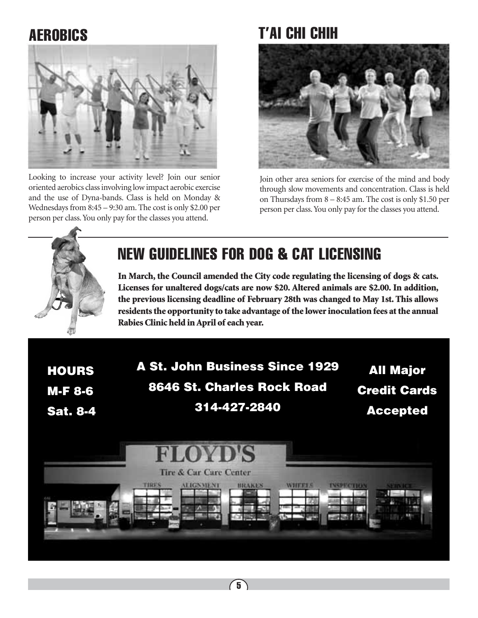

Looking to increase your activity level? Join our senior oriented aerobics class involving low impact aerobic exercise and the use of Dyna-bands. Class is held on Monday & Wednesdays from 8:45 – 9:30 am. The cost is only \$2.00 per person per class. You only pay for the classes you attend.

### Aerobics t'ai chi chih



Join other area seniors for exercise of the mind and body through slow movements and concentration. Class is held on Thursdays from 8 – 8:45 am. The cost is only \$1.50 per person per class. You only pay for the classes you attend.



## NEW GUIDELINES FOR DOG & CAT LICENSING

In March, the Council amended the City code regulating the licensing of dogs & cats. Licenses for unaltered dogs/cats are now \$20. Altered animals are \$2.00. In addition, the previous licensing deadline of February 28th was changed to May 1st. This allows residents the opportunity to take advantage of the lower inoculation fees at the annual Rabies Clinic held in April of each year.

**HOURS** M-F 8-6 Sat. 8-4 A St. John Business Since 1929 8646 St. Charles Rock Road 314-427-2840

All Major Credit Cards Accepted

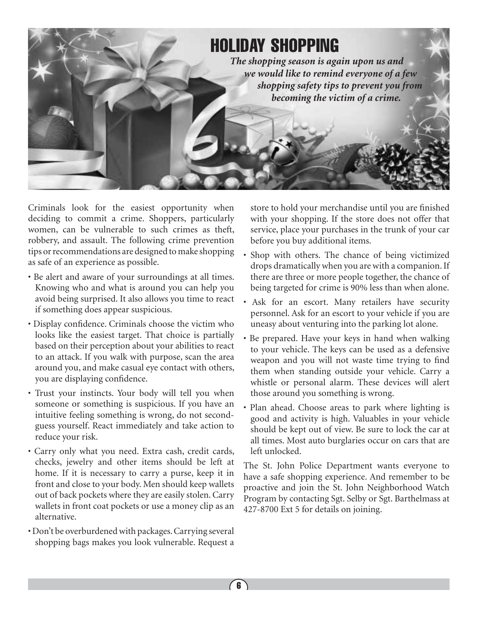

Criminals look for the easiest opportunity when deciding to commit a crime. Shoppers, particularly women, can be vulnerable to such crimes as theft, robbery, and assault. The following crime prevention tips or recommendations are designed to make shopping as safe of an experience as possible.

- Be alert and aware of your surroundings at all times. Knowing who and what is around you can help you avoid being surprised. It also allows you time to react if something does appear suspicious.
- Display confidence. Criminals choose the victim who looks like the easiest target. That choice is partially based on their perception about your abilities to react to an attack. If you walk with purpose, scan the area around you, and make casual eye contact with others, you are displaying confidence.
- Trust your instincts. Your body will tell you when someone or something is suspicious. If you have an intuitive feeling something is wrong, do not secondguess yourself. React immediately and take action to reduce your risk.
- Carry only what you need. Extra cash, credit cards, checks, jewelry and other items should be left at home. If it is necessary to carry a purse, keep it in front and close to your body. Men should keep wallets out of back pockets where they are easily stolen. Carry wallets in front coat pockets or use a money clip as an alternative.
- Don't be overburdened with packages. Carrying several shopping bags makes you look vulnerable. Request a

store to hold your merchandise until you are finished with your shopping. If the store does not offer that service, place your purchases in the trunk of your car before you buy additional items.

- Shop with others. The chance of being victimized drops dramatically when you are with a companion. If there are three or more people together, the chance of being targeted for crime is 90% less than when alone.
- Ask for an escort. Many retailers have security personnel. Ask for an escort to your vehicle if you are uneasy about venturing into the parking lot alone.
- Be prepared. Have your keys in hand when walking to your vehicle. The keys can be used as a defensive weapon and you will not waste time trying to find them when standing outside your vehicle. Carry a whistle or personal alarm. These devices will alert those around you something is wrong.
- Plan ahead. Choose areas to park where lighting is good and activity is high. Valuables in your vehicle should be kept out of view. Be sure to lock the car at all times. Most auto burglaries occur on cars that are left unlocked.

The St. John Police Department wants everyone to have a safe shopping experience. And remember to be proactive and join the St. John Neighborhood Watch Program by contacting Sgt. Selby or Sgt. Barthelmass at 427-8700 Ext 5 for details on joining.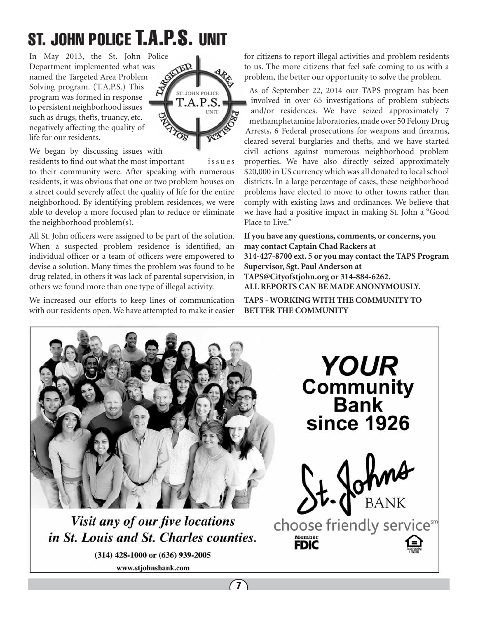# St. John police T.A.P.S. unit

In May 2013, the St. John Police<br>Department implemented what was<br>named the Targeted Area Problem<br>Solving program. (TAT) Department implemented what was named the Targeted Area Problem Solving program. (T.A.P.S.) This program was formed in response to persistent neighborhood issues such as drugs, thefts, truancy, etc. negatively affecting the quality of life for our residents.



We began by discussing issues with

residents to find out what the most important is sue s to their community were. After speaking with numerous residents, it was obvious that one or two problem houses on a street could severely affect the quality of life for the entire neighborhood. By identifying problem residences, we were able to develop a more focused plan to reduce or eliminate the neighborhood problem(s).

All St. John officers were assigned to be part of the solution. When a suspected problem residence is identified, an individual officer or a team of officers were empowered to devise a solution. Many times the problem was found to be drug related, in others it was lack of parental supervision, in others we found more than one type of illegal activity.

We increased our efforts to keep lines of communication with our residents open. We have attempted to make it easier for citizens to report illegal activities and problem residents to us. The more citizens that feel safe coming to us with a problem, the better our opportunity to solve the problem.

As of September 22, 2014 our TAPS program has been involved in over 65 investigations of problem subjects and/or residences. We have seized approximately 7 methamphetamine laboratories, made over 50 Felony Drug Arrests, 6 Federal prosecutions for weapons and firearms, cleared several burglaries and thefts, and we have started civil actions against numerous neighborhood problem properties. We have also directly seized approximately \$20,000 in US currency which was all donated to local school districts. In a large percentage of cases, these neighborhood problems have elected to move to other towns rather than comply with existing laws and ordinances. We believe that we have had a positive impact in making St. John a "Good Place to Live."

**If you have any questions, comments, or concerns, you may contact Captain Chad Rackers at 314-427-8700 ext. 5 or you may contact the TAPS Program Supervisor, Sgt. Paul Anderson at TAPS@Cityofstjohn.org or 314-884-6262. ALL REPORTS CAN BE MADE ANONYMOUSLY.**

**TAPS - WORKING WITH THE COMMUNITY TO BETTER THE COMMUNITY**



Visit any of our five locations in St. Louis and St. Charles counties.

(314) 428-1000 or (636) 939-2005 www.stjohnsbank.com

 $(7)$ 

**YOUR Community**<br>Bank **since 1926** Johns

choose friendly servicesm

Member<br>**FDIC**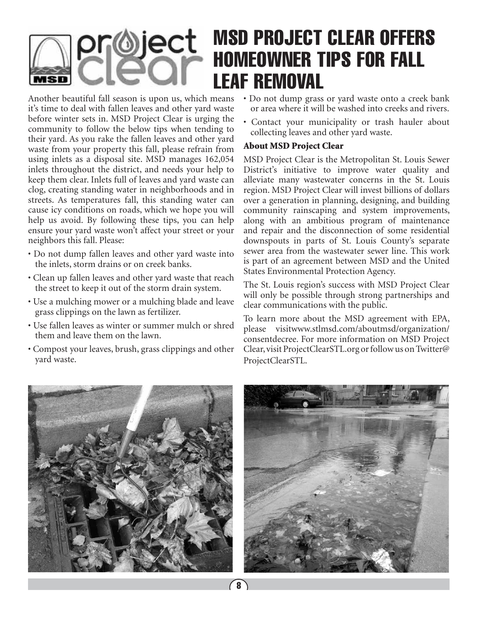### msd project clear offers pr@ject homeowner tips for fall leaf removal

Another beautiful fall season is upon us, which means it's time to deal with fallen leaves and other yard waste before winter sets in. MSD Project Clear is urging the community to follow the below tips when tending to their yard. As you rake the fallen leaves and other yard waste from your property this fall, please refrain from using inlets as a disposal site. MSD manages 162,054 inlets throughout the district, and needs your help to keep them clear. Inlets full of leaves and yard waste can clog, creating standing water in neighborhoods and in streets. As temperatures fall, this standing water can cause icy conditions on roads, which we hope you will help us avoid. By following these tips, you can help ensure your yard waste won't affect your street or your neighbors this fall. Please:

- Do not dump fallen leaves and other yard waste into the inlets, storm drains or on creek banks.
- Clean up fallen leaves and other yard waste that reach the street to keep it out of the storm drain system.
- Use a mulching mower or a mulching blade and leave grass clippings on the lawn as fertilizer.
- Use fallen leaves as winter or summer mulch or shred them and leave them on the lawn.
- Compost your leaves, brush, grass clippings and other yard waste.
- Do not dump grass or yard waste onto a creek bank or area where it will be washed into creeks and rivers.
- Contact your municipality or trash hauler about collecting leaves and other yard waste.

### About MSD Project Clear

MSD Project Clear is the Metropolitan St. Louis Sewer District's initiative to improve water quality and alleviate many wastewater concerns in the St. Louis region. MSD Project Clear will invest billions of dollars over a generation in planning, designing, and building community rainscaping and system improvements, along with an ambitious program of maintenance and repair and the disconnection of some residential downspouts in parts of St. Louis County's separate sewer area from the wastewater sewer line. This work is part of an agreement between MSD and the United States Environmental Protection Agency.

The St. Louis region's success with MSD Project Clear will only be possible through strong partnerships and clear communications with the public.

To learn more about the MSD agreement with EPA, please visitwww.stlmsd.com/aboutmsd/organization/ consentdecree. For more information on MSD Project Clear, visit ProjectClearSTL.org or follow us on Twitter@ ProjectClearSTL.



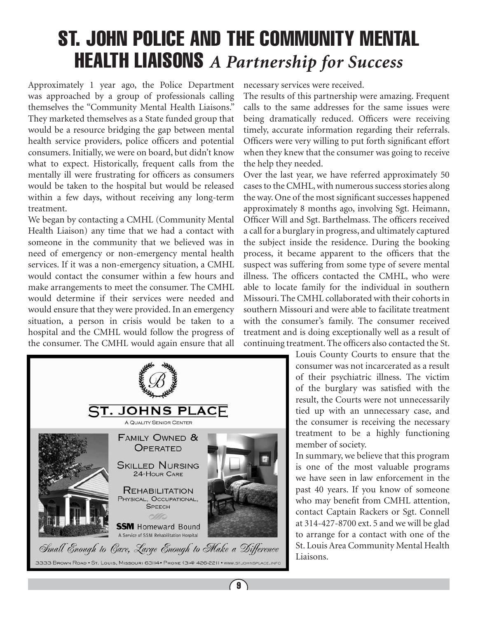# ST. JOHN POLICE AND THE COMMUNITY MENTAL HEALTH LIAISONS *A Partnership for Success*

Approximately 1 year ago, the Police Department was approached by a group of professionals calling themselves the "Community Mental Health Liaisons." They marketed themselves as a State funded group that would be a resource bridging the gap between mental health service providers, police officers and potential consumers. Initially, we were on board, but didn't know what to expect. Historically, frequent calls from the mentally ill were frustrating for officers as consumers would be taken to the hospital but would be released within a few days, without receiving any long-term treatment.

We began by contacting a CMHL (Community Mental Health Liaison) any time that we had a contact with someone in the community that we believed was in need of emergency or non-emergency mental health services. If it was a non-emergency situation, a CMHL would contact the consumer within a few hours and make arrangements to meet the consumer. The CMHL would determine if their services were needed and would ensure that they were provided. In an emergency situation, a person in crisis would be taken to a hospital and the CMHL would follow the progress of the consumer. The CMHL would again ensure that all



 $\sqrt{9}$ 

necessary services were received.

The results of this partnership were amazing. Frequent calls to the same addresses for the same issues were being dramatically reduced. Officers were receiving timely, accurate information regarding their referrals. Officers were very willing to put forth significant effort when they knew that the consumer was going to receive the help they needed.

Over the last year, we have referred approximately 50 cases to the CMHL, with numerous success stories along the way. One of the most significant successes happened approximately 8 months ago, involving Sgt. Heimann, Officer Will and Sgt. Barthelmass. The officers received a call for a burglary in progress, and ultimately captured the subject inside the residence. During the booking process, it became apparent to the officers that the suspect was suffering from some type of severe mental illness. The officers contacted the CMHL, who were able to locate family for the individual in southern Missouri. The CMHL collaborated with their cohorts in southern Missouri and were able to facilitate treatment with the consumer's family. The consumer received treatment and is doing exceptionally well as a result of continuing treatment. The officers also contacted the St.

> Louis County Courts to ensure that the consumer was not incarcerated as a result of their psychiatric illness. The victim of the burglary was satisfied with the result, the Courts were not unnecessarily tied up with an unnecessary case, and the consumer is receiving the necessary treatment to be a highly functioning member of society.

> In summary, we believe that this program is one of the most valuable programs we have seen in law enforcement in the past 40 years. If you know of someone who may benefit from CMHL attention, contact Captain Rackers or Sgt. Connell at 314-427-8700 ext. 5 and we will be glad to arrange for a contact with one of the St. Louis Area Community Mental Health Liaisons.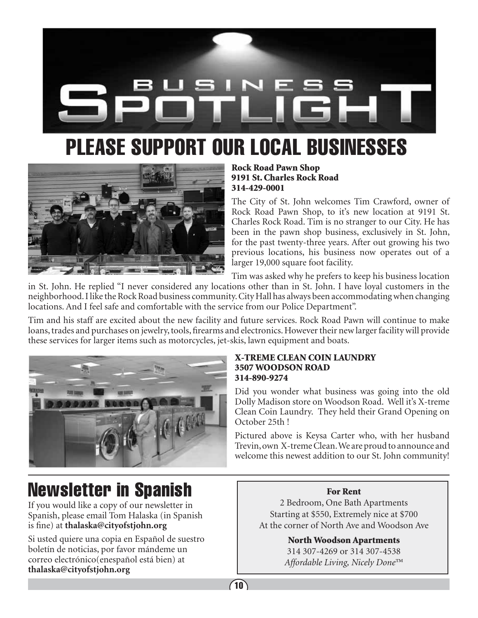

# please support our local Businesses



Rock Road Pawn Shop 9191 St. Charles Rock Road 314-429-0001

The City of St. John welcomes Tim Crawford, owner of Rock Road Pawn Shop, to it's new location at 9191 St. Charles Rock Road. Tim is no stranger to our City. He has been in the pawn shop business, exclusively in St. John, for the past twenty-three years. After out growing his two previous locations, his business now operates out of a larger 19,000 square foot facility.

Tim was asked why he prefers to keep his business location

in St. John. He replied "I never considered any locations other than in St. John. I have loyal customers in the neighborhood. I like the Rock Road business community. City Hall has always been accommodating when changing locations. And I feel safe and comfortable with the service from our Police Department".

Tim and his staff are excited about the new facility and future services. Rock Road Pawn will continue to make loans, trades and purchases on jewelry, tools, firearms and electronics. However their new larger facility will provide these services for larger items such as motorcycles, jet-skis, lawn equipment and boats.



### X-TREME CLEAN COIN LAUNDRY 3507 WOODSON ROAD 314-890-9274

Did you wonder what business was going into the old Dolly Madison store on Woodson Road. Well it's X-treme Clean Coin Laundry. They held their Grand Opening on October 25th !

Pictured above is Keysa Carter who, with her husband Trevin, own X-treme Clean. We are proud to announce and welcome this newest addition to our St. John community!

# Newsletter in Spanish

If you would like a copy of our newsletter in Spanish, please email Tom Halaska (in Spanish is fine) at **thalaska@cityofstjohn.org**

Si usted quiere una copia en Español de suestro boletín de noticias, por favor mándeme un correo electrónico(enespañol está bien) at **thalaska@cityofstjohn.org**

### For Rent

2 Bedroom, One Bath Apartments Starting at \$550, Extremely nice at \$700 At the corner of North Ave and Woodson Ave

> North Woodson Apartments 314 307-4269 or 314 307-4538

*Affordable Living, Nicely Done*™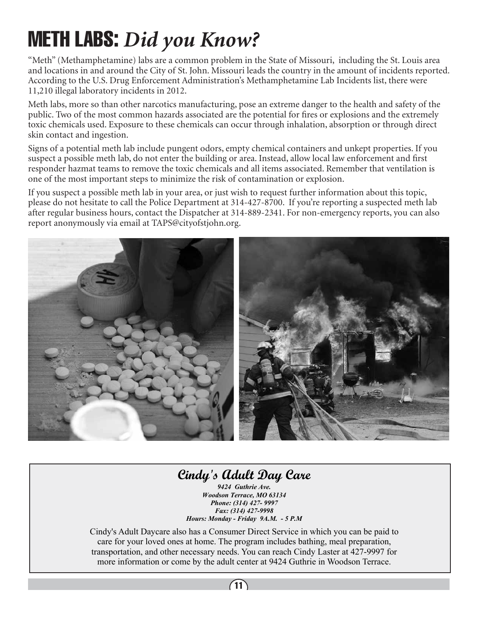# METH LABS: *Did you Know?*

"Meth" (Methamphetamine) labs are a common problem in the State of Missouri, including the St. Louis area and locations in and around the City of St. John. Missouri leads the country in the amount of incidents reported. According to the U.S. Drug Enforcement Administration's Methamphetamine Lab Incidents list, there were 11,210 illegal laboratory incidents in 2012.

Meth labs, more so than other narcotics manufacturing, pose an extreme danger to the health and safety of the public. Two of the most common hazards associated are the potential for fires or explosions and the extremely toxic chemicals used. Exposure to these chemicals can occur through inhalation, absorption or through direct skin contact and ingestion.

Signs of a potential meth lab include pungent odors, empty chemical containers and unkept properties. If you suspect a possible meth lab, do not enter the building or area. Instead, allow local law enforcement and first responder hazmat teams to remove the toxic chemicals and all items associated. Remember that ventilation is one of the most important steps to minimize the risk of contamination or explosion.

If you suspect a possible meth lab in your area, or just wish to request further information about this topic, please do not hesitate to call the Police Department at 314-427-8700. If you're reporting a suspected meth lab after regular business hours, contact the Dispatcher at 314-889-2341. For non-emergency reports, you can also report anonymously via email at TAPS@cityofstjohn.org.



### **Cindy's Adult Day Care**

*9424 Guthrie Ave. Woodson Terrace, MO 63134 Phone: (314) 427- 9997 Fax: (314) 427-9998 Hours: Monday - Friday 9A.M. - 5 P.M* 

Cindy's Adult Daycare also has a Consumer Direct Service in which you can be paid to care for your loved ones at home. The program includes bathing, meal preparation, transportation, and other necessary needs. You can reach Cindy Laster at 427-9997 for more information or come by the adult center at 9424 Guthrie in Woodson Terrace.